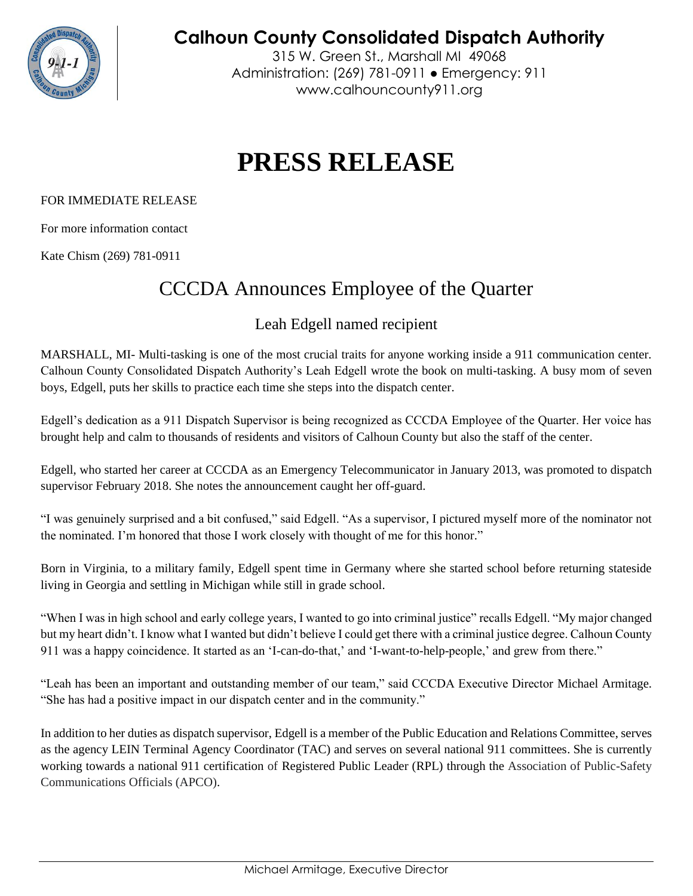

**Calhoun County Consolidated Dispatch Authority**

315 W. Green St., Marshall MI 49068 Administration: (269) 781-0911 ● Emergency: 911 www.calhouncounty911.org

## **PRESS RELEASE**

## FOR IMMEDIATE RELEASE

For more information contact

Kate Chism (269) 781-0911

## CCCDA Announces Employee of the Quarter

## Leah Edgell named recipient

MARSHALL, MI- Multi-tasking is one of the most crucial traits for anyone working inside a 911 communication center. Calhoun County Consolidated Dispatch Authority's Leah Edgell wrote the book on multi-tasking. A busy mom of seven boys, Edgell, puts her skills to practice each time she steps into the dispatch center.

Edgell's dedication as a 911 Dispatch Supervisor is being recognized as CCCDA Employee of the Quarter. Her voice has brought help and calm to thousands of residents and visitors of Calhoun County but also the staff of the center.

Edgell, who started her career at CCCDA as an Emergency Telecommunicator in January 2013, was promoted to dispatch supervisor February 2018. She notes the announcement caught her off-guard.

"I was genuinely surprised and a bit confused," said Edgell. "As a supervisor, I pictured myself more of the nominator not the nominated. I'm honored that those I work closely with thought of me for this honor."

Born in Virginia, to a military family, Edgell spent time in Germany where she started school before returning stateside living in Georgia and settling in Michigan while still in grade school.

"When I was in high school and early college years, I wanted to go into criminal justice" recalls Edgell. "My major changed but my heart didn't. I know what I wanted but didn't believe I could get there with a criminal justice degree. Calhoun County 911 was a happy coincidence. It started as an 'I-can-do-that,' and 'I-want-to-help-people,' and grew from there."

"Leah has been an important and outstanding member of our team," said CCCDA Executive Director Michael Armitage. "She has had a positive impact in our dispatch center and in the community."

In addition to her duties as dispatch supervisor, Edgell is a member of the Public Education and Relations Committee, serves as the agency LEIN Terminal Agency Coordinator (TAC) and serves on several national 911 committees. She is currently working towards a national 911 certification of Registered Public Leader (RPL) through the Association of Public-Safety Communications Officials (APCO).